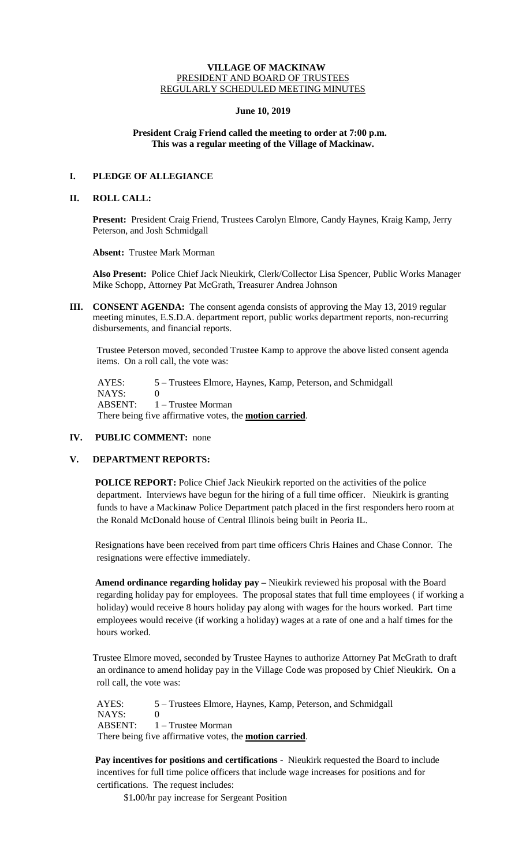## **VILLAGE OF MACKINAW** PRESIDENT AND BOARD OF TRUSTEES REGULARLY SCHEDULED MEETING MINUTES

## **June 10, 2019**

## **President Craig Friend called the meeting to order at 7:00 p.m. This was a regular meeting of the Village of Mackinaw.**

# **I. PLEDGE OF ALLEGIANCE**

## **II. ROLL CALL:**

**Present:** President Craig Friend, Trustees Carolyn Elmore, Candy Haynes, Kraig Kamp, Jerry Peterson, and Josh Schmidgall

**Absent:** Trustee Mark Morman

**Also Present:** Police Chief Jack Nieukirk, Clerk/Collector Lisa Spencer, Public Works Manager Mike Schopp, Attorney Pat McGrath, Treasurer Andrea Johnson

**III. CONSENT AGENDA:** The consent agenda consists of approving the May 13, 2019 regular meeting minutes, E.S.D.A. department report, public works department reports, non-recurring disbursements, and financial reports.

Trustee Peterson moved, seconded Trustee Kamp to approve the above listed consent agenda items. On a roll call, the vote was:

 AYES: 5 – Trustees Elmore, Haynes, Kamp, Peterson, and Schmidgall NAYS: 0 ABSENT: 1 – Trustee Morman There being five affirmative votes, the **motion carried**.

# **IV. PUBLIC COMMENT:** none

## **V. DEPARTMENT REPORTS:**

**POLICE REPORT:** Police Chief Jack Nieukirk reported on the activities of the police department. Interviews have begun for the hiring of a full time officer. Nieukirk is granting funds to have a Mackinaw Police Department patch placed in the first responders hero room at the Ronald McDonald house of Central Illinois being built in Peoria IL.

Resignations have been received from part time officers Chris Haines and Chase Connor. The resignations were effective immediately.

**Amend ordinance regarding holiday pay –** Nieukirk reviewed his proposal with the Board regarding holiday pay for employees. The proposal states that full time employees ( if working a holiday) would receive 8 hours holiday pay along with wages for the hours worked. Part time employees would receive (if working a holiday) wages at a rate of one and a half times for the hours worked.

Trustee Elmore moved, seconded by Trustee Haynes to authorize Attorney Pat McGrath to draft an ordinance to amend holiday pay in the Village Code was proposed by Chief Nieukirk. On a roll call, the vote was:

AYES: 5 – Trustees Elmore, Haynes, Kamp, Peterson, and Schmidgall NAYS: 0 ABSENT: 1 – Trustee Morman There being five affirmative votes, the **motion carried**.

**Pay incentives for positions and certifications -** Nieukirk requested the Board to include incentives for full time police officers that include wage increases for positions and for certifications. The request includes:

\$1**.**00/hr pay increase for Sergeant Position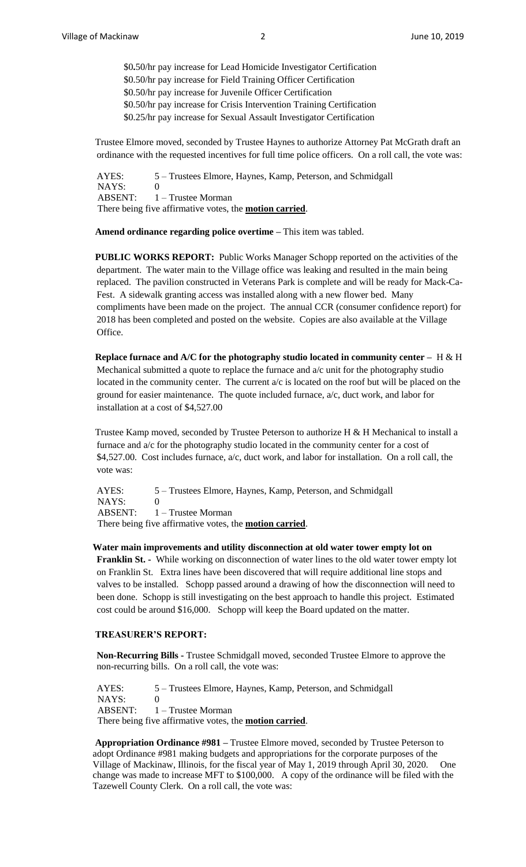\$0**.**50/hr pay increase for Lead Homicide Investigator Certification \$0.50/hr pay increase for Field Training Officer Certification \$0.50/hr pay increase for Juvenile Officer Certification \$0.50/hr pay increase for Crisis Intervention Training Certification \$0.25/hr pay increase for Sexual Assault Investigator Certification

Trustee Elmore moved, seconded by Trustee Haynes to authorize Attorney Pat McGrath draft an ordinance with the requested incentives for full time police officers. On a roll call, the vote was:

AYES: 5 – Trustees Elmore, Haynes, Kamp, Peterson, and Schmidgall NAYS: 0 ABSENT: 1 – Trustee Morman There being five affirmative votes, the **motion carried**.

**Amend ordinance regarding police overtime –** This item was tabled.

**PUBLIC WORKS REPORT:** Public Works Manager Schopp reported on the activities of the department. The water main to the Village office was leaking and resulted in the main being replaced. The pavilion constructed in Veterans Park is complete and will be ready for Mack-Ca-Fest. A sidewalk granting access was installed along with a new flower bed. Many compliments have been made on the project. The annual CCR (consumer confidence report) for 2018 has been completed and posted on the website. Copies are also available at the Village Office.

**Replace furnace and A/C for the photography studio located in community center –** H & H Mechanical submitted a quote to replace the furnace and a/c unit for the photography studio located in the community center. The current a/c is located on the roof but will be placed on the ground for easier maintenance. The quote included furnace, a/c, duct work, and labor for installation at a cost of \$4,527.00

Trustee Kamp moved, seconded by Trustee Peterson to authorize H & H Mechanical to install a furnace and a/c for the photography studio located in the community center for a cost of  $$4,527.00$ . Cost includes furnace,  $a/c$ , duct work, and labor for installation. On a roll call, the vote was:

AYES: 5 – Trustees Elmore, Haynes, Kamp, Peterson, and Schmidgall NAYS: 0 ABSENT: 1 – Trustee Morman There being five affirmative votes, the **motion carried**.

#### **Water main improvements and utility disconnection at old water tower empty lot on**

**Franklin St. -** While working on disconnection of water lines to the old water tower empty lot on Franklin St. Extra lines have been discovered that will require additional line stops and valves to be installed. Schopp passed around a drawing of how the disconnection will need to been done. Schopp is still investigating on the best approach to handle this project. Estimated cost could be around \$16,000. Schopp will keep the Board updated on the matter.

### **TREASURER'S REPORT:**

**Non-Recurring Bills -** Trustee Schmidgall moved, seconded Trustee Elmore to approve the non-recurring bills. On a roll call, the vote was:

AYES: 5 – Trustees Elmore, Haynes, Kamp, Peterson, and Schmidgall NAYS: 0 ABSENT: 1 – Trustee Morman There being five affirmative votes, the **motion carried**.

**Appropriation Ordinance #981 –** Trustee Elmore moved, seconded by Trustee Peterson to adopt Ordinance #981 making budgets and appropriations for the corporate purposes of the Village of Mackinaw, Illinois, for the fiscal year of May 1, 2019 through April 30, 2020. One change was made to increase MFT to \$100,000. A copy of the ordinance will be filed with the Tazewell County Clerk. On a roll call, the vote was: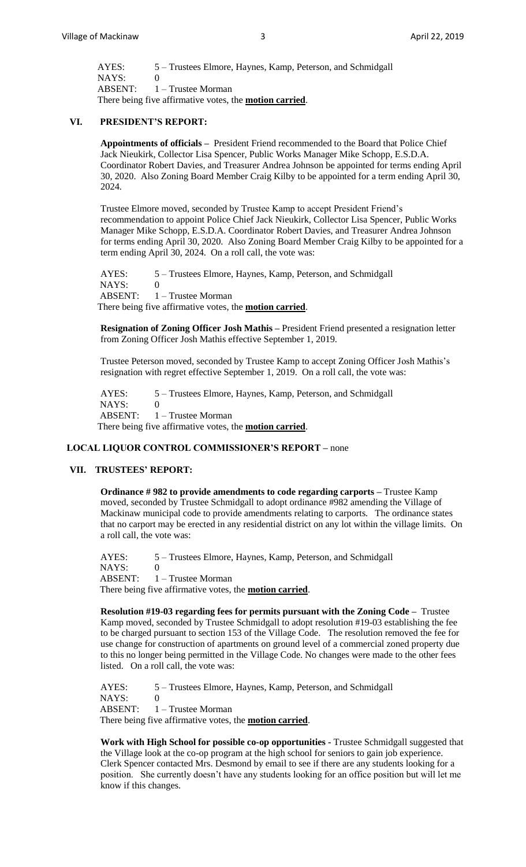| AYES:                                                           | 5 – Trustees Elmore, Haynes, Kamp, Peterson, and Schmidgall |
|-----------------------------------------------------------------|-------------------------------------------------------------|
| NAYS:                                                           |                                                             |
|                                                                 | $ABSENT: 1 - Trustee Morman$                                |
| There being five affirmative votes, the <b>motion carried</b> . |                                                             |

## **VI. PRESIDENT'S REPORT:**

**Appointments of officials –** President Friend recommended to the Board that Police Chief Jack Nieukirk, Collector Lisa Spencer, Public Works Manager Mike Schopp, E.S.D.A. Coordinator Robert Davies, and Treasurer Andrea Johnson be appointed for terms ending April 30, 2020. Also Zoning Board Member Craig Kilby to be appointed for a term ending April 30, 2024.

Trustee Elmore moved, seconded by Trustee Kamp to accept President Friend's recommendation to appoint Police Chief Jack Nieukirk, Collector Lisa Spencer, Public Works Manager Mike Schopp, E.S.D.A. Coordinator Robert Davies, and Treasurer Andrea Johnson for terms ending April 30, 2020. Also Zoning Board Member Craig Kilby to be appointed for a term ending April 30, 2024. On a roll call, the vote was:

AYES: 5 – Trustees Elmore, Haynes, Kamp, Peterson, and Schmidgall NAYS: 0 ABSENT: 1 – Trustee Morman There being five affirmative votes, the **motion carried**.

**Resignation of Zoning Officer Josh Mathis –** President Friend presented a resignation letter from Zoning Officer Josh Mathis effective September 1, 2019.

Trustee Peterson moved, seconded by Trustee Kamp to accept Zoning Officer Josh Mathis's resignation with regret effective September 1, 2019. On a roll call, the vote was:

AYES: 5 – Trustees Elmore, Haynes, Kamp, Peterson, and Schmidgall NAYS: 0 ABSENT: 1 – Trustee Morman There being five affirmative votes, the **motion carried**.

#### **LOCAL LIQUOR CONTROL COMMISSIONER'S REPORT –** none

#### **VII. TRUSTEES' REPORT:**

**Ordinance # 982 to provide amendments to code regarding carports –** Trustee Kamp moved, seconded by Trustee Schmidgall to adopt ordinance #982 amending the Village of Mackinaw municipal code to provide amendments relating to carports. The ordinance states that no carport may be erected in any residential district on any lot within the village limits. On a roll call, the vote was:

AYES: 5 – Trustees Elmore, Haynes, Kamp, Peterson, and Schmidgall  $NAYS$  0 ABSENT: 1 – Trustee Morman There being five affirmative votes, the **motion carried**.

**Resolution #19-03 regarding fees for permits pursuant with the Zoning Code –** Trustee Kamp moved, seconded by Trustee Schmidgall to adopt resolution #19-03 establishing the fee to be charged pursuant to section 153 of the Village Code. The resolution removed the fee for use change for construction of apartments on ground level of a commercial zoned property due to this no longer being permitted in the Village Code. No changes were made to the other fees listed. On a roll call, the vote was:

AYES: 5 – Trustees Elmore, Haynes, Kamp, Peterson, and Schmidgall NAYS: 0 ABSENT: 1 – Trustee Morman There being five affirmative votes, the **motion carried**.

**Work with High School for possible co-op opportunities -** Trustee Schmidgall suggested that the Village look at the co-op program at the high school for seniors to gain job experience. Clerk Spencer contacted Mrs. Desmond by email to see if there are any students looking for a position. She currently doesn't have any students looking for an office position but will let me know if this changes.